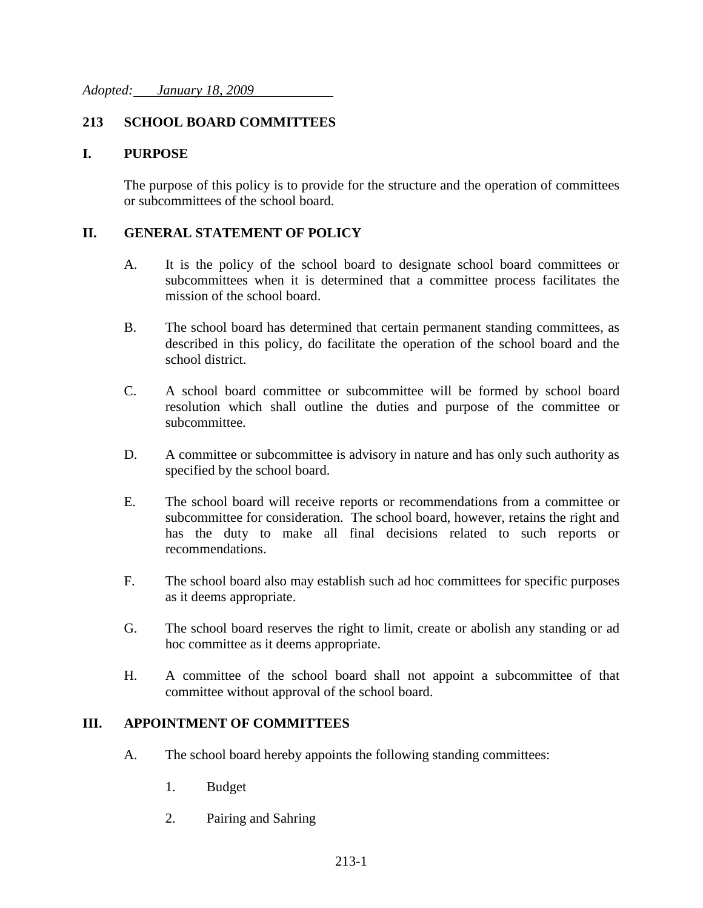# **213 SCHOOL BOARD COMMITTEES**

### **I. PURPOSE**

The purpose of this policy is to provide for the structure and the operation of committees or subcommittees of the school board.

### **II. GENERAL STATEMENT OF POLICY**

- A. It is the policy of the school board to designate school board committees or subcommittees when it is determined that a committee process facilitates the mission of the school board.
- B. The school board has determined that certain permanent standing committees, as described in this policy, do facilitate the operation of the school board and the school district.
- C. A school board committee or subcommittee will be formed by school board resolution which shall outline the duties and purpose of the committee or subcommittee.
- D. A committee or subcommittee is advisory in nature and has only such authority as specified by the school board.
- E. The school board will receive reports or recommendations from a committee or subcommittee for consideration. The school board, however, retains the right and has the duty to make all final decisions related to such reports or recommendations.
- F. The school board also may establish such ad hoc committees for specific purposes as it deems appropriate.
- G. The school board reserves the right to limit, create or abolish any standing or ad hoc committee as it deems appropriate.
- H. A committee of the school board shall not appoint a subcommittee of that committee without approval of the school board.

#### **III. APPOINTMENT OF COMMITTEES**

- A. The school board hereby appoints the following standing committees:
	- 1. Budget
	- 2. Pairing and Sahring